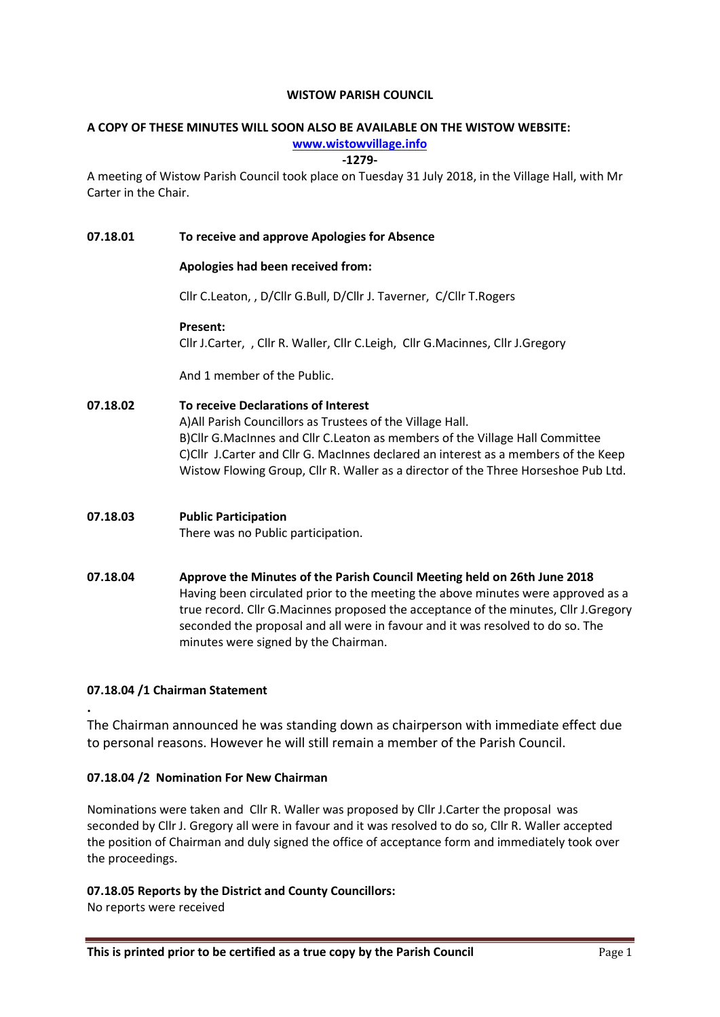#### WISTOW PARISH COUNCIL

# A COPY OF THESE MINUTES WILL SOON ALSO BE AVAILABLE ON THE WISTOW WEBSITE:

www.wistowvillage.info

-1279-

A meeting of Wistow Parish Council took place on Tuesday 31 July 2018, in the Village Hall, with Mr Carter in the Chair.

#### 07.18.01 To receive and approve Apologies for Absence

#### Apologies had been received from:

Cllr C.Leaton, , D/Cllr G.Bull, D/Cllr J. Taverner, C/Cllr T.Rogers

#### Present:

Cllr J.Carter, , Cllr R. Waller, Cllr C.Leigh, Cllr G.Macinnes, Cllr J.Gregory

And 1 member of the Public.

## 07.18.02 To receive Declarations of Interest

A)All Parish Councillors as Trustees of the Village Hall. B)Cllr G.MacInnes and Cllr C.Leaton as members of the Village Hall Committee C)Cllr J.Carter and Cllr G. MacInnes declared an interest as a members of the Keep Wistow Flowing Group, Cllr R. Waller as a director of the Three Horseshoe Pub Ltd.

# 07.18.03 Public Participation

There was no Public participation.

## 07.18.04 Approve the Minutes of the Parish Council Meeting held on 26th June 2018 Having been circulated prior to the meeting the above minutes were approved as a true record. Cllr G.Macinnes proposed the acceptance of the minutes, Cllr J.Gregory seconded the proposal and all were in favour and it was resolved to do so. The minutes were signed by the Chairman.

## 07.18.04 /1 Chairman Statement

.

The Chairman announced he was standing down as chairperson with immediate effect due to personal reasons. However he will still remain a member of the Parish Council.

## 07.18.04 /2 Nomination For New Chairman

Nominations were taken and Cllr R. Waller was proposed by Cllr J.Carter the proposal was seconded by Cllr J. Gregory all were in favour and it was resolved to do so, Cllr R. Waller accepted the position of Chairman and duly signed the office of acceptance form and immediately took over the proceedings.

## 07.18.05 Reports by the District and County Councillors:

No reports were received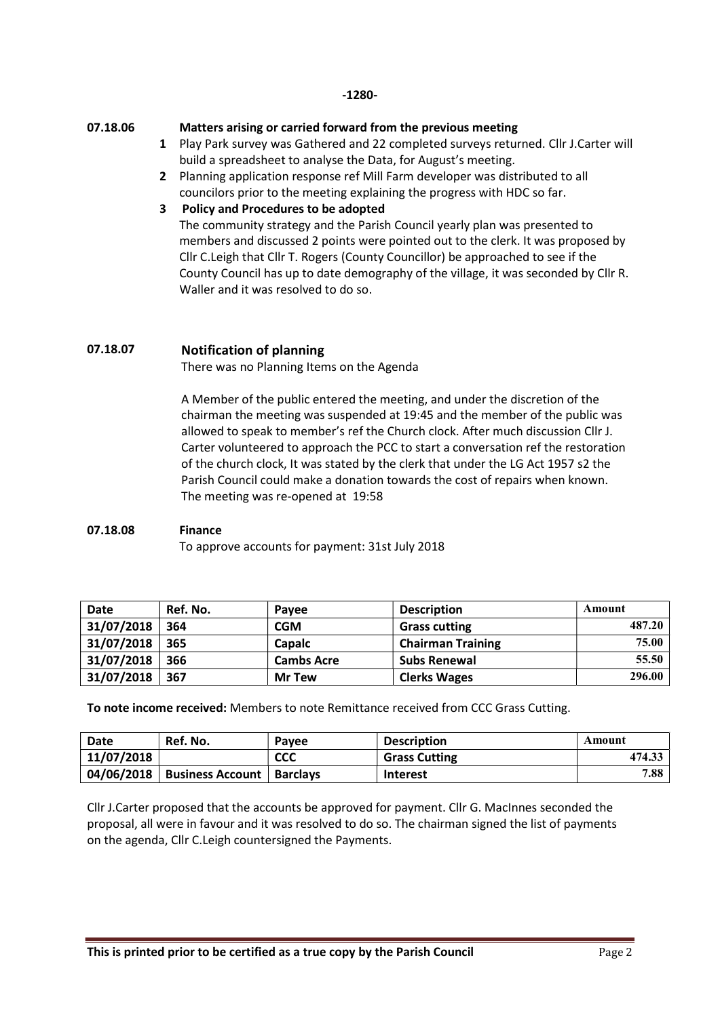#### -1280-

#### 07.18.06

#### Matters arising or carried forward from the previous meeting

- 1 Play Park survey was Gathered and 22 completed surveys returned. Cllr J.Carter will build a spreadsheet to analyse the Data, for August's meeting.
- 2 Planning application response ref Mill Farm developer was distributed to all councilors prior to the meeting explaining the progress with HDC so far.

#### 3 Policy and Procedures to be adopted

The community strategy and the Parish Council yearly plan was presented to members and discussed 2 points were pointed out to the clerk. It was proposed by Cllr C.Leigh that Cllr T. Rogers (County Councillor) be approached to see if the County Council has up to date demography of the village, it was seconded by Cllr R. Waller and it was resolved to do so.

## 07.18.07 Notification of planning

There was no Planning Items on the Agenda

A Member of the public entered the meeting, and under the discretion of the chairman the meeting was suspended at 19:45 and the member of the public was allowed to speak to member's ref the Church clock. After much discussion Cllr J. Carter volunteered to approach the PCC to start a conversation ref the restoration of the church clock, It was stated by the clerk that under the LG Act 1957 s2 the Parish Council could make a donation towards the cost of repairs when known. The meeting was re-opened at 19:58

# 07.18.08 Finance

To approve accounts for payment: 31st July 2018

| Date       | Ref. No. | Pavee             | <b>Description</b>       | Amount |
|------------|----------|-------------------|--------------------------|--------|
| 31/07/2018 | 364      | CGM               | <b>Grass cutting</b>     | 487.20 |
| 31/07/2018 | 365      | <b>Capalc</b>     | <b>Chairman Training</b> | 75.00  |
| 31/07/2018 | 366      | <b>Cambs Acre</b> | <b>Subs Renewal</b>      | 55.50  |
| 31/07/2018 | 367      | <b>Mr Tew</b>     | <b>Clerks Wages</b>      | 296.00 |

To note income received: Members to note Remittance received from CCC Grass Cutting.

| Date       | Ref. No.                           | Pavee      | <b>Description</b>   | Amount |
|------------|------------------------------------|------------|----------------------|--------|
| 11/07/2018 |                                    | <b>CCC</b> | <b>Grass Cutting</b> | 474.33 |
| 04/06/2018 | <b>Business Account   Barclays</b> |            | <b>Interest</b>      | 7.88   |

Cllr J.Carter proposed that the accounts be approved for payment. Cllr G. MacInnes seconded the proposal, all were in favour and it was resolved to do so. The chairman signed the list of payments on the agenda, Cllr C.Leigh countersigned the Payments.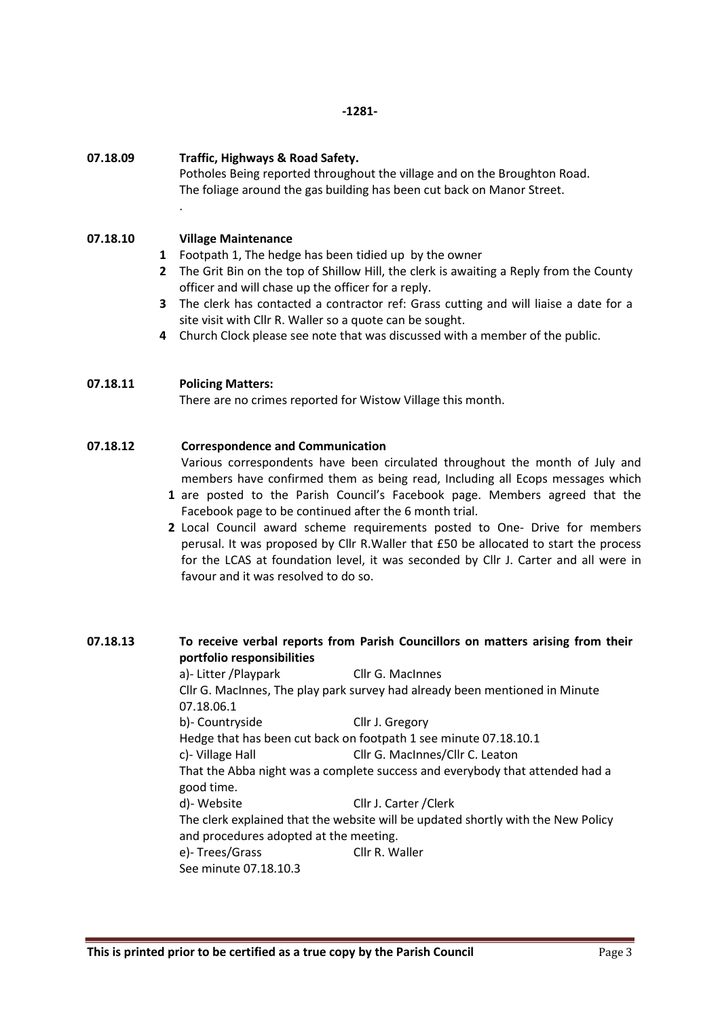#### 07.18.09 Traffic, Highways & Road Safety.

Potholes Being reported throughout the village and on the Broughton Road. The foliage around the gas building has been cut back on Manor Street.

#### 07.18.10 Village Maintenance

.

1 Footpath 1, The hedge has been tidied up by the owner

- 2 The Grit Bin on the top of Shillow Hill, the clerk is awaiting a Reply from the County officer and will chase up the officer for a reply.
- 3 The clerk has contacted a contractor ref: Grass cutting and will liaise a date for a site visit with Cllr R. Waller so a quote can be sought.
- 4 Church Clock please see note that was discussed with a member of the public.

#### 07.18.11 Policing Matters:

There are no crimes reported for Wistow Village this month.

#### 07.18.12 Correspondence and Communication

Various correspondents have been circulated throughout the month of July and members have confirmed them as being read, Including all Ecops messages which

- 1 are posted to the Parish Council's Facebook page. Members agreed that the Facebook page to be continued after the 6 month trial.
- 2 Local Council award scheme requirements posted to One- Drive for members perusal. It was proposed by Cllr R.Waller that £50 be allocated to start the process for the LCAS at foundation level, it was seconded by Cllr J. Carter and all were in favour and it was resolved to do so.

## 07.18.13 To receive verbal reports from Parish Councillors on matters arising from their portfolio responsibilities

a)- Litter /Playpark Cllr G. MacInnes Cllr G. MacInnes, The play park survey had already been mentioned in Minute 07.18.06.1 b)- Countryside Cllr J. Gregory Hedge that has been cut back on footpath 1 see minute 07.18.10.1 c)- Village Hall Cllr G. MacInnes/Cllr C. Leaton That the Abba night was a complete success and everybody that attended had a good time. d)- Website Cllr J. Carter /Clerk The clerk explained that the website will be updated shortly with the New Policy and procedures adopted at the meeting. e)- Trees/Grass Cllr R. Waller See minute 07.18.10.3